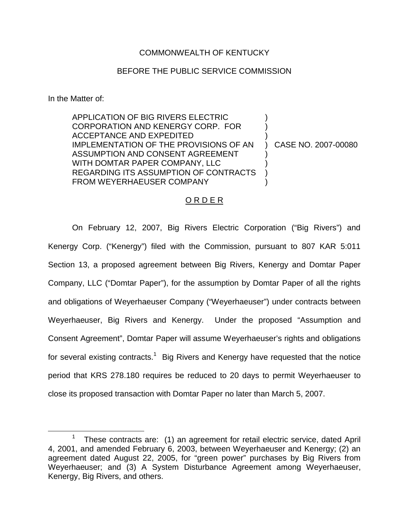## COMMONWEALTH OF KENTUCKY

## BEFORE THE PUBLIC SERVICE COMMISSION

In the Matter of:

APPLICATION OF BIG RIVERS ELECTRIC CORPORATION AND KENERGY CORP. FOR ACCEPTANCE AND EXPEDITED IMPLEMENTATION OF THE PROVISIONS OF AN ASSUMPTION AND CONSENT AGREEMENT WITH DOMTAR PAPER COMPANY, LLC REGARDING ITS ASSUMPTION OF CONTRACTS FROM WEYERHAEUSER COMPANY ) ) ) ) CASE NO. 2007-00080 ) ) ) )

## O R D E R

On February 12, 2007, Big Rivers Electric Corporation ("Big Rivers") and Kenergy Corp. ("Kenergy") filed with the Commission, pursuant to 807 KAR 5:011 Section 13, a proposed agreement between Big Rivers, Kenergy and Domtar Paper Company, LLC ("Domtar Paper"), for the assumption by Domtar Paper of all the rights and obligations of Weyerhaeuser Company ("Weyerhaeuser") under contracts between Weyerhaeuser, Big Rivers and Kenergy. Under the proposed "Assumption and Consent Agreement", Domtar Paper will assume Weyerhaeuser's rights and obligations for several existing contracts.<sup>1</sup> Big Rivers and Kenergy have requested that the notice period that KRS 278.180 requires be reduced to 20 days to permit Weyerhaeuser to close its proposed transaction with Domtar Paper no later than March 5, 2007.

<sup>1</sup> These contracts are: (1) an agreement for retail electric service, dated April 4, 2001, and amended February 6, 2003, between Weyerhaeuser and Kenergy; (2) an agreement dated August 22, 2005, for "green power" purchases by Big Rivers from Weyerhaeuser; and (3) A System Disturbance Agreement among Weyerhaeuser, Kenergy, Big Rivers, and others.